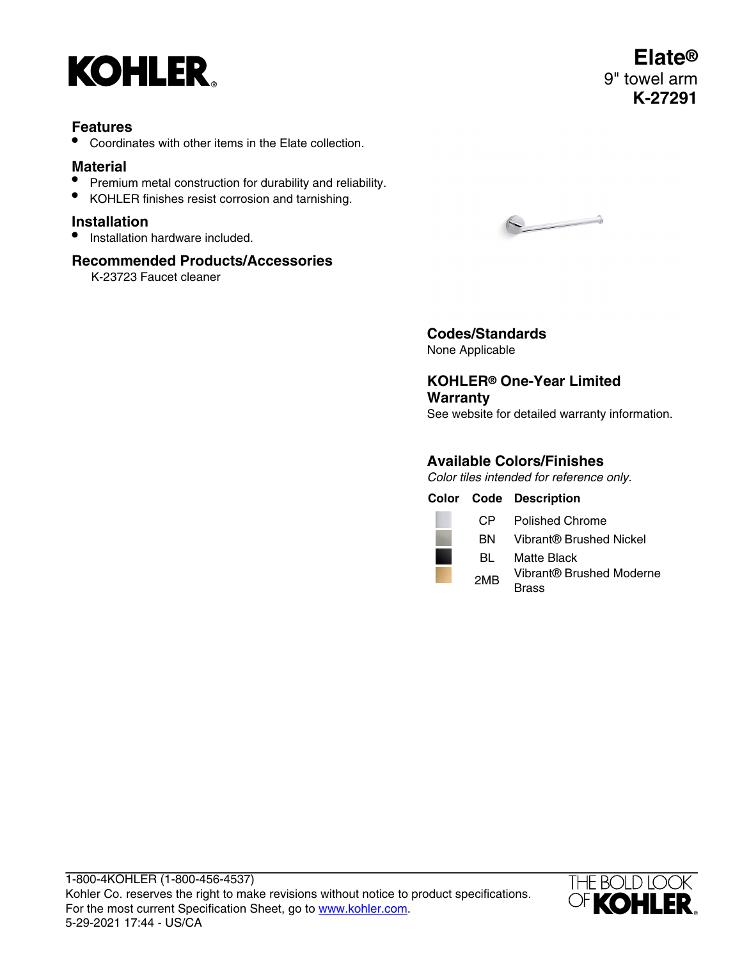

## **Features**

• Coordinates with other items in the Elate collection.

# **Material**

- Premium metal construction for durability and reliability.
- KOHLER finishes resist corrosion and tarnishing.

#### **Installation**

• Installation hardware included.

### **Recommended Products/Accessories**

K-23723 Faucet cleaner



**Codes/Standards** None Applicable

**KOHLER® One-Year Limited Warranty** See website for detailed warranty information.

### **Available Colors/Finishes**

Color tiles intended for reference only.

**Color Code Description** CP Polished Chrome BN Vibrant® Brushed Nickel BL Matte Black 2MB Vibrant® Brushed Moderne **Brass**